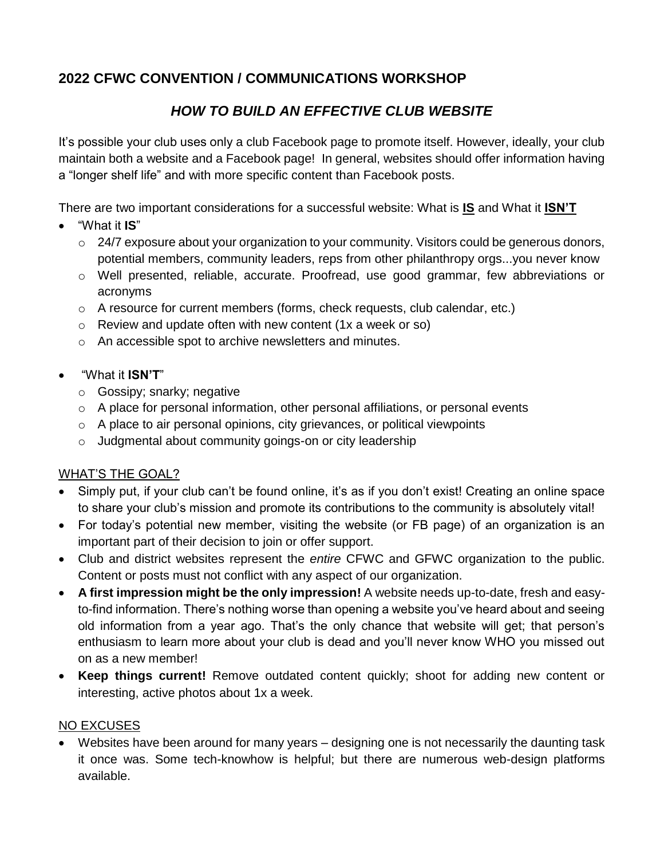# **2022 CFWC CONVENTION / COMMUNICATIONS WORKSHOP**

# *HOW TO BUILD AN EFFECTIVE CLUB WEBSITE*

It's possible your club uses only a club Facebook page to promote itself. However, ideally, your club maintain both a website and a Facebook page! In general, websites should offer information having a "longer shelf life" and with more specific content than Facebook posts.

There are two important considerations for a successful website: What is **IS** and What it **ISN'T**

- "What it **IS**"
	- $\circ$  24/7 exposure about your organization to your community. Visitors could be generous donors, potential members, community leaders, reps from other philanthropy orgs...you never know
	- o Well presented, reliable, accurate. Proofread, use good grammar, few abbreviations or acronyms
	- $\circ$  A resource for current members (forms, check requests, club calendar, etc.)
	- $\circ$  Review and update often with new content (1x a week or so)
	- o An accessible spot to archive newsletters and minutes.
- "What it **ISN'T**"
	- o Gossipy; snarky; negative
	- $\circ$  A place for personal information, other personal affiliations, or personal events
	- $\circ$  A place to air personal opinions, city grievances, or political viewpoints
	- o Judgmental about community goings-on or city leadership

## WHAT'S THE GOAL?

- Simply put, if your club can't be found online, it's as if you don't exist! Creating an online space to share your club's mission and promote its contributions to the community is absolutely vital!
- For today's potential new member, visiting the website (or FB page) of an organization is an important part of their decision to join or offer support.
- Club and district websites represent the *entire* CFWC and GFWC organization to the public. Content or posts must not conflict with any aspect of our organization.
- **A first impression might be the only impression!** A website needs up-to-date, fresh and easyto-find information. There's nothing worse than opening a website you've heard about and seeing old information from a year ago. That's the only chance that website will get; that person's enthusiasm to learn more about your club is dead and you'll never know WHO you missed out on as a new member!
- **Keep things current!** Remove outdated content quickly; shoot for adding new content or interesting, active photos about 1x a week.

## NO EXCUSES

 Websites have been around for many years – designing one is not necessarily the daunting task it once was. Some tech-knowhow is helpful; but there are numerous web-design platforms available.